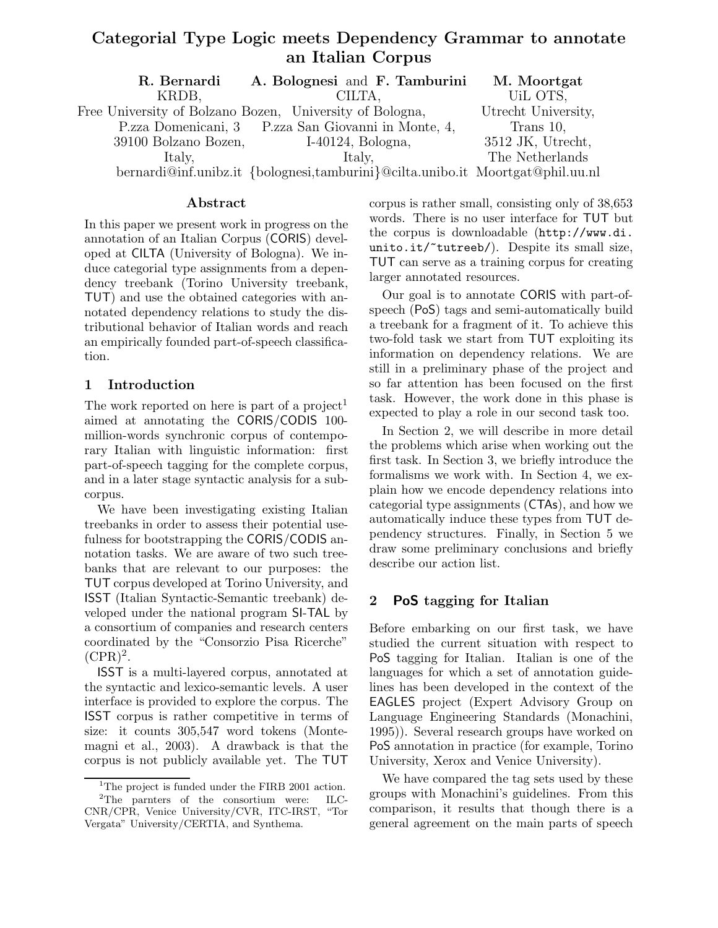# Categorial Type Logic meets Dependency Grammar to annotate an Italian Corpus

| R. Bernardi          | A. Bolognesi and F. Tamburini                                                  | M. Moortgat         |
|----------------------|--------------------------------------------------------------------------------|---------------------|
| KRDB,                | CILTA.                                                                         | UiL OTS,            |
|                      | Free University of Bolzano Bozen, University of Bologna,                       | Utrecht University, |
|                      | P.zza Domenicani, 3 P.zza San Giovanni in Monte, 4,                            | Trans 10,           |
| 39100 Bolzano Bozen, | $I-40124$ , Bologna,                                                           | 3512 JK, Utrecht,   |
| Italy,               | Italy.                                                                         | The Netherlands     |
|                      | bernardi@inf.unibz.it {bolognesi,tamburini}@cilta.unibo.it Moortgat@phil.uu.nl |                     |

### Abstract

In this paper we present work in progress on the annotation of an Italian Corpus (CORIS) developed at CILTA (University of Bologna). We induce categorial type assignments from a dependency treebank (Torino University treebank, TUT) and use the obtained categories with annotated dependency relations to study the distributional behavior of Italian words and reach an empirically founded part-of-speech classification.

### 1 Introduction

The work reported on here is part of a project<sup>1</sup> aimed at annotating the CORIS/CODIS 100 million-words synchronic corpus of contemporary Italian with linguistic information: first part-of-speech tagging for the complete corpus, and in a later stage syntactic analysis for a subcorpus.

We have been investigating existing Italian treebanks in order to assess their potential usefulness for bootstrapping the CORIS/CODIS annotation tasks. We are aware of two such treebanks that are relevant to our purposes: the TUT corpus developed at Torino University, and ISST (Italian Syntactic-Semantic treebank) developed under the national program SI-TAL by a consortium of companies and research centers coordinated by the "Consorzio Pisa Ricerche"  $(CPR)^2$ .

ISST is a multi-layered corpus, annotated at the syntactic and lexico-semantic levels. A user interface is provided to explore the corpus. The ISST corpus is rather competitive in terms of size: it counts 305,547 word tokens (Montemagni et al., 2003). A drawback is that the corpus is not publicly available yet. The TUT corpus is rather small, consisting only of 38,653 words. There is no user interface for TUT but the corpus is downloadable (http://www.di. unito.it/"tutreeb/). Despite its small size, TUT can serve as a training corpus for creating larger annotated resources.

Our goal is to annotate CORIS with part-ofspeech (PoS) tags and semi-automatically build a treebank for a fragment of it. To achieve this two-fold task we start from TUT exploiting its information on dependency relations. We are still in a preliminary phase of the project and so far attention has been focused on the first task. However, the work done in this phase is expected to play a role in our second task too.

In Section 2, we will describe in more detail the problems which arise when working out the first task. In Section 3, we briefly introduce the formalisms we work with. In Section 4, we explain how we encode dependency relations into categorial type assignments (CTAs), and how we automatically induce these types from TUT dependency structures. Finally, in Section 5 we draw some preliminary conclusions and briefly describe our action list.

### 2 PoS tagging for Italian

Before embarking on our first task, we have studied the current situation with respect to PoS tagging for Italian. Italian is one of the languages for which a set of annotation guidelines has been developed in the context of the EAGLES project (Expert Advisory Group on Language Engineering Standards (Monachini, 1995)). Several research groups have worked on PoS annotation in practice (for example, Torino University, Xerox and Venice University).

We have compared the tag sets used by these groups with Monachini's guidelines. From this comparison, it results that though there is a general agreement on the main parts of speech

<sup>&</sup>lt;sup>1</sup>The project is funded under the FIRB 2001 action. <sup>2</sup>The parnters of the consortium were: ILC-CNR/CPR, Venice University/CVR, ITC-IRST, "Tor Vergata" University/CERTIA, and Synthema.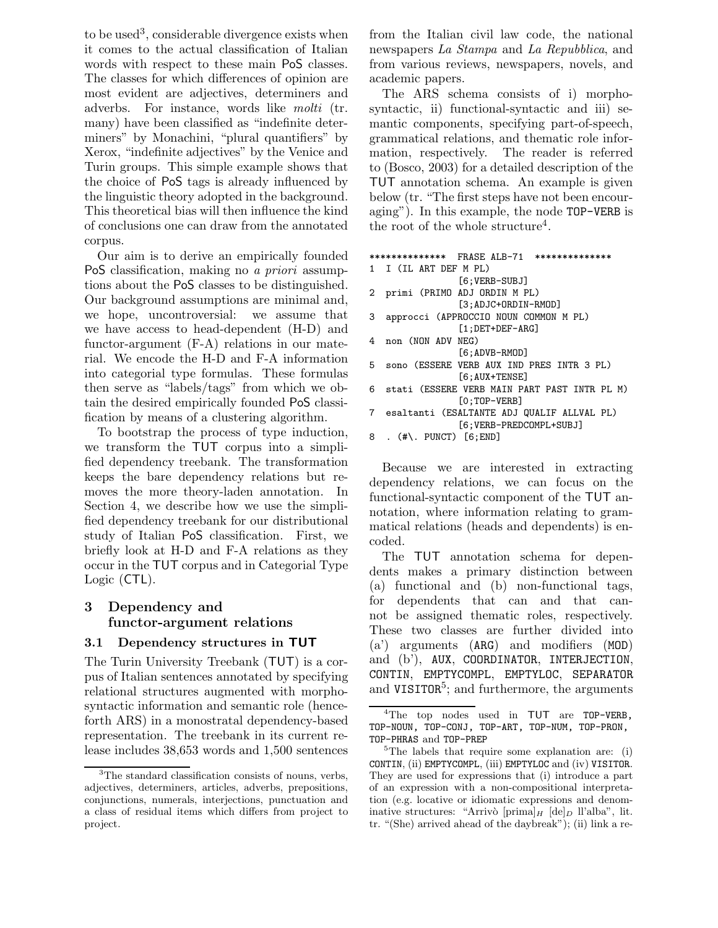to be used<sup>3</sup>, considerable divergence exists when it comes to the actual classification of Italian words with respect to these main PoS classes. The classes for which differences of opinion are most evident are adjectives, determiners and adverbs. For instance, words like molti (tr. many) have been classified as "indefinite determiners" by Monachini, "plural quantifiers" by Xerox, "indefinite adjectives" by the Venice and Turin groups. This simple example shows that the choice of PoS tags is already influenced by the linguistic theory adopted in the background. This theoretical bias will then influence the kind of conclusions one can draw from the annotated corpus.

Our aim is to derive an empirically founded PoS classification, making no a priori assumptions about the PoS classes to be distinguished. Our background assumptions are minimal and, we hope, uncontroversial: we assume that we have access to head-dependent (H-D) and functor-argument (F-A) relations in our material. We encode the H-D and F-A information into categorial type formulas. These formulas then serve as "labels/tags" from which we obtain the desired empirically founded PoS classification by means of a clustering algorithm.

To bootstrap the process of type induction, we transform the TUT corpus into a simplified dependency treebank. The transformation keeps the bare dependency relations but removes the more theory-laden annotation. In Section 4, we describe how we use the simplified dependency treebank for our distributional study of Italian PoS classification. First, we briefly look at H-D and F-A relations as they occur in the TUT corpus and in Categorial Type Logic (CTL).

## 3 Dependency and functor-argument relations

#### 3.1 Dependency structures in TUT

The Turin University Treebank (TUT) is a corpus of Italian sentences annotated by specifying relational structures augmented with morphosyntactic information and semantic role (henceforth ARS) in a monostratal dependency-based representation. The treebank in its current release includes 38,653 words and 1,500 sentences from the Italian civil law code, the national newspapers La Stampa and La Repubblica, and from various reviews, newspapers, novels, and academic papers.

The ARS schema consists of i) morphosyntactic, ii) functional-syntactic and iii) semantic components, specifying part-of-speech, grammatical relations, and thematic role information, respectively. The reader is referred to (Bosco, 2003) for a detailed description of the TUT annotation schema. An example is given below (tr. "The first steps have not been encouraging"). In this example, the node TOP-VERB is the root of the whole structure<sup>4</sup>.

```
************** FRASE ALB-71 **************
1 I (IL ART DEF M PL)
                [6;VERB-SUBJ]
2 primi (PRIMO ADJ ORDIN M PL)
                [3;ADJC+ORDIN-RMOD]
3 approcci (APPROCCIO NOUN COMMON M PL)
                [1;DET+DEF-ARG]
4 non (NON ADV NEG)
                [6;ADVB-RMOD]
5 sono (ESSERE VERB AUX IND PRES INTR 3 PL)
                [6;AUX+TENSE]
6 stati (ESSERE VERB MAIN PART PAST INTR PL M)
                [0;TOP-VERB]
7 esaltanti (ESALTANTE ADJ QUALIF ALLVAL PL)
                [6;VERB-PREDCOMPL+SUBJ]
8 . (#\. PUNCT) [6;END]
```
Because we are interested in extracting dependency relations, we can focus on the functional-syntactic component of the TUT annotation, where information relating to grammatical relations (heads and dependents) is encoded.

The TUT annotation schema for dependents makes a primary distinction between (a) functional and (b) non-functional tags, for dependents that can and that cannot be assigned thematic roles, respectively. These two classes are further divided into (a') arguments (ARG) and modifiers (MOD) and (b'), AUX, COORDINATOR, INTERJECTION, CONTIN, EMPTYCOMPL, EMPTYLOC, SEPARATOR and VISITOR<sup>5</sup>; and furthermore, the arguments

<sup>&</sup>lt;sup>3</sup>The standard classification consists of nouns, verbs, adjectives, determiners, articles, adverbs, prepositions, conjunctions, numerals, interjections, punctuation and a class of residual items which differs from project to project.

<sup>&</sup>lt;sup>4</sup>The top nodes used in TUT are TOP-VERB, TOP-NOUN, TOP-CONJ, TOP-ART, TOP-NUM, TOP-PRON, TOP-PHRAS and TOP-PREP

<sup>&</sup>lt;sup>5</sup>The labels that require some explanation are: (i) CONTIN, (ii) EMPTYCOMPL, (iii) EMPTYLOC and (iv) VISITOR. They are used for expressions that (i) introduce a part of an expression with a non-compositional interpretation (e.g. locative or idiomatic expressions and denominative structures: "Arrivò [prima] $_H$  [de] $_D$  ll'alba", lit. tr. "(She) arrived ahead of the daybreak"); (ii) link a re-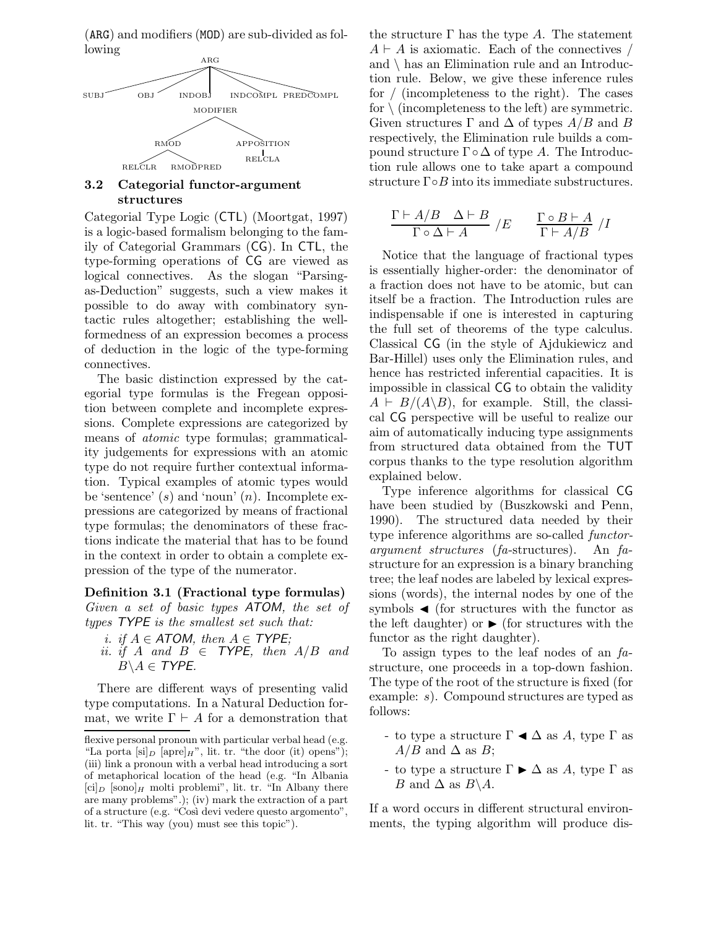(ARG) and modifiers (MOD) are sub-divided as following



### 3.2 Categorial functor-argument structures

Categorial Type Logic (CTL) (Moortgat, 1997) is a logic-based formalism belonging to the family of Categorial Grammars (CG). In CTL, the type-forming operations of CG are viewed as logical connectives. As the slogan "Parsingas-Deduction" suggests, such a view makes it possible to do away with combinatory syntactic rules altogether; establishing the wellformedness of an expression becomes a process of deduction in the logic of the type-forming connectives.

The basic distinction expressed by the categorial type formulas is the Fregean opposition between complete and incomplete expressions. Complete expressions are categorized by means of atomic type formulas; grammaticality judgements for expressions with an atomic type do not require further contextual information. Typical examples of atomic types would be 'sentence'  $(s)$  and 'noun'  $(n)$ . Incomplete expressions are categorized by means of fractional type formulas; the denominators of these fractions indicate the material that has to be found in the context in order to obtain a complete expression of the type of the numerator.

#### Definition 3.1 (Fractional type formulas)

Given a set of basic types ATOM, the set of types TYPE is the smallest set such that:

- i. if  $A \in$  ATOM, then  $A \in$  TYPE;
- ii. if A and  $B \in \text{TYPE}$ , then  $A/B$  and  $B \setminus A \in \text{TYPE}.$

There are different ways of presenting valid type computations. In a Natural Deduction format, we write  $\Gamma \vdash A$  for a demonstration that the structure  $\Gamma$  has the type A. The statement  $A \vdash A$  is axiomatic. Each of the connectives / and \ has an Elimination rule and an Introduction rule. Below, we give these inference rules for / (incompleteness to the right). The cases for  $\setminus$  (incompleteness to the left) are symmetric. Given structures  $\Gamma$  and  $\Delta$  of types  $A/B$  and B respectively, the Elimination rule builds a compound structure  $\Gamma \circ \Delta$  of type A. The Introduction rule allows one to take apart a compound structure  $\Gamma \circ B$  into its immediate substructures.

$$
\frac{\Gamma \vdash A/B \quad \Delta \vdash B}{\Gamma \circ \Delta \vdash A} / E \qquad \frac{\Gamma \circ B \vdash A}{\Gamma \vdash A/B} / I
$$

Notice that the language of fractional types is essentially higher-order: the denominator of a fraction does not have to be atomic, but can itself be a fraction. The Introduction rules are indispensable if one is interested in capturing the full set of theorems of the type calculus. Classical CG (in the style of Ajdukiewicz and Bar-Hillel) uses only the Elimination rules, and hence has restricted inferential capacities. It is impossible in classical CG to obtain the validity  $A \vdash B/(A\backslash B)$ , for example. Still, the classical CG perspective will be useful to realize our aim of automatically inducing type assignments from structured data obtained from the TUT corpus thanks to the type resolution algorithm explained below.

Type inference algorithms for classical CG have been studied by (Buszkowski and Penn, 1990). The structured data needed by their type inference algorithms are so-called functorargument structures (fa-structures). An fastructure for an expression is a binary branching tree; the leaf nodes are labeled by lexical expressions (words), the internal nodes by one of the symbols  $\triangleleft$  (for structures with the functor as the left daughter) or  $\triangleright$  (for structures with the functor as the right daughter).

To assign types to the leaf nodes of an fastructure, one proceeds in a top-down fashion. The type of the root of the structure is fixed (for example: s). Compound structures are typed as follows:

- to type a structure  $\Gamma \blacktriangleleft \Delta$  as A, type  $\Gamma$  as  $A/B$  and  $\Delta$  as  $B$ ;
- to type a structure  $\Gamma \triangleright \Delta$  as A, type  $\Gamma$  as *B* and  $\Delta$  as  $B \setminus A$ .

If a word occurs in different structural environments, the typing algorithm will produce dis-

flexive personal pronoun with particular verbal head (e.g. "La porta  $[\text{si}]_D$  [apre] $_H$ ", lit. tr. "the door (it) opens"); (iii) link a pronoun with a verbal head introducing a sort of metaphorical location of the head (e.g. "In Albania  $[\text{ci}]_D$  [sono]<sub>H</sub> molti problemi", lit. tr. "In Albany there are many problems".); (iv) mark the extraction of a part of a structure (e.g. "Così devi vedere questo argomento", lit. tr. "This way (you) must see this topic").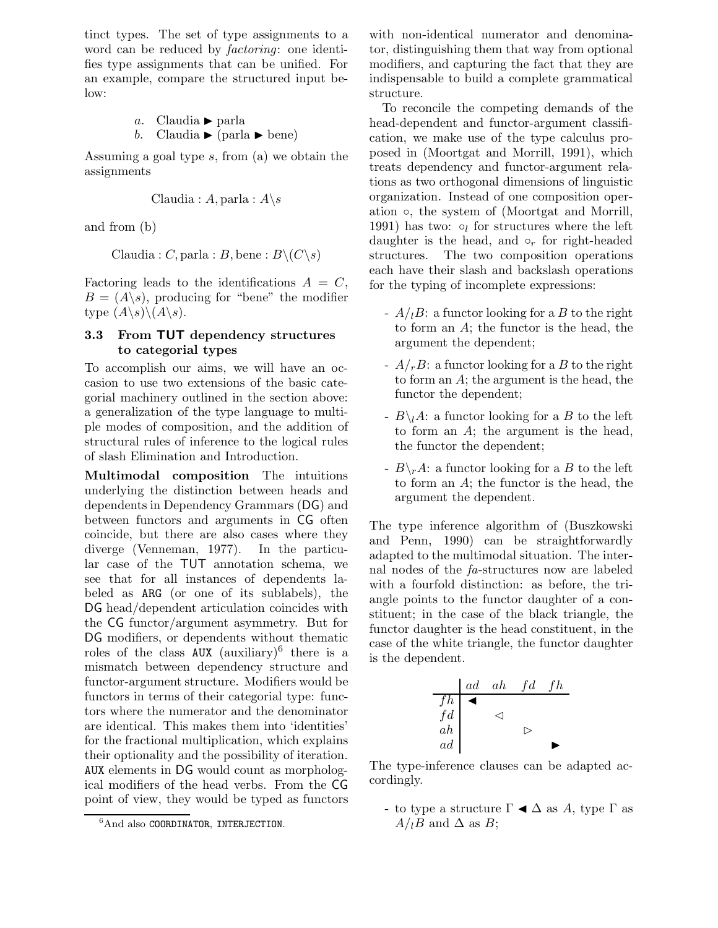tinct types. The set of type assignments to a word can be reduced by *factoring*: one identifies type assignments that can be unified. For an example, compare the structured input below:

a. Claudia I parla b. Claudia I (parla I bene)

Assuming a goal type s, from (a) we obtain the assignments

Claudia : 
$$
A
$$
, parla :  $A \setminus s$ 

and from (b)

```
Claudia : C, parla : B, bene : B \setminus (C \setminus s)
```
Factoring leads to the identifications  $A = C$ ,  $B = (A \setminus s)$ , producing for "bene" the modifier type  $(A\backslash s)\backslash (A\backslash s)$ .

### 3.3 From TUT dependency structures to categorial types

To accomplish our aims, we will have an occasion to use two extensions of the basic categorial machinery outlined in the section above: a generalization of the type language to multiple modes of composition, and the addition of structural rules of inference to the logical rules of slash Elimination and Introduction.

Multimodal composition The intuitions underlying the distinction between heads and dependents in Dependency Grammars (DG) and between functors and arguments in CG often coincide, but there are also cases where they diverge (Venneman, 1977). In the particular case of the TUT annotation schema, we see that for all instances of dependents labeled as ARG (or one of its sublabels), the DG head/dependent articulation coincides with the CG functor/argument asymmetry. But for DG modifiers, or dependents without thematic roles of the class  $\overrightarrow{AUX}$  (auxiliary)<sup>6</sup> there is a mismatch between dependency structure and functor-argument structure. Modifiers would be functors in terms of their categorial type: functors where the numerator and the denominator are identical. This makes them into 'identities' for the fractional multiplication, which explains their optionality and the possibility of iteration. AUX elements in DG would count as morphological modifiers of the head verbs. From the CG point of view, they would be typed as functors

with non-identical numerator and denominator, distinguishing them that way from optional modifiers, and capturing the fact that they are indispensable to build a complete grammatical structure.

To reconcile the competing demands of the head-dependent and functor-argument classification, we make use of the type calculus proposed in (Moortgat and Morrill, 1991), which treats dependency and functor-argument relations as two orthogonal dimensions of linguistic organization. Instead of one composition operation ◦, the system of (Moortgat and Morrill, 1991) has two:  $\circ_l$  for structures where the left daughter is the head, and  $\circ_r$  for right-headed structures. The two composition operations each have their slash and backslash operations for the typing of incomplete expressions:

- $-A/I$ B: a functor looking for a B to the right to form an A; the functor is the head, the argument the dependent;
- $-A/rB$ : a functor looking for a B to the right to form an A; the argument is the head, the functor the dependent;
- $-B\1A:$  a functor looking for a B to the left to form an A; the argument is the head, the functor the dependent;
- $-B\rightharpoonup R$ : a functor looking for a B to the left to form an A; the functor is the head, the argument the dependent.

The type inference algorithm of (Buszkowski and Penn, 1990) can be straightforwardly adapted to the multimodal situation. The internal nodes of the fa-structures now are labeled with a fourfold distinction: as before, the triangle points to the functor daughter of a constituent; in the case of the black triangle, the functor daughter is the head constituent, in the case of the white triangle, the functor daughter is the dependent.



The type-inference clauses can be adapted accordingly.

- to type a structure  $\Gamma \blacktriangleleft \Delta$  as A, type  $\Gamma$  as  $A/<sub>l</sub>B$  and  $\Delta$  as B;

 ${}^{6}$ And also COORDINATOR, INTERJECTION.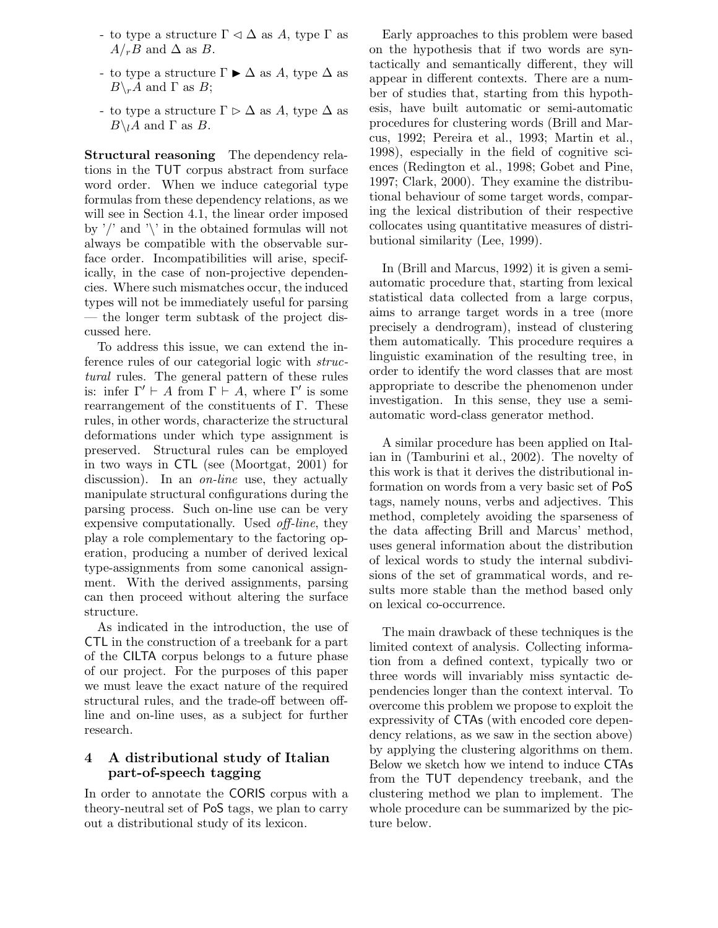- to type a structure  $\Gamma \lhd \Delta$  as A, type  $\Gamma$  as  $A/rB$  and  $\Delta$  as B.
- to type a structure  $\Gamma \triangleright \Delta$  as A, type  $\Delta$  as  $B\backslash_r A$  and  $\Gamma$  as  $B$ ;
- to type a structure  $\Gamma \triangleright \Delta$  as A, type  $\Delta$  as  $B\setminus I$  and  $\Gamma$  as  $B$ .

Structural reasoning The dependency relations in the TUT corpus abstract from surface word order. When we induce categorial type formulas from these dependency relations, as we will see in Section 4.1, the linear order imposed by  $\prime$  and  $\prime$  in the obtained formulas will not always be compatible with the observable surface order. Incompatibilities will arise, specifically, in the case of non-projective dependencies. Where such mismatches occur, the induced types will not be immediately useful for parsing — the longer term subtask of the project discussed here.

To address this issue, we can extend the inference rules of our categorial logic with structural rules. The general pattern of these rules is: infer  $\Gamma' \vdash A$  from  $\Gamma \vdash A$ , where  $\Gamma'$  is some rearrangement of the constituents of Γ. These rules, in other words, characterize the structural deformations under which type assignment is preserved. Structural rules can be employed in two ways in CTL (see (Moortgat, 2001) for discussion). In an *on-line* use, they actually manipulate structural configurations during the parsing process. Such on-line use can be very expensive computationally. Used off-line, they play a role complementary to the factoring operation, producing a number of derived lexical type-assignments from some canonical assignment. With the derived assignments, parsing can then proceed without altering the surface structure.

As indicated in the introduction, the use of CTL in the construction of a treebank for a part of the CILTA corpus belongs to a future phase of our project. For the purposes of this paper we must leave the exact nature of the required structural rules, and the trade-off between offline and on-line uses, as a subject for further research.

## 4 A distributional study of Italian part-of-speech tagging

In order to annotate the CORIS corpus with a theory-neutral set of PoS tags, we plan to carry out a distributional study of its lexicon.

Early approaches to this problem were based on the hypothesis that if two words are syntactically and semantically different, they will appear in different contexts. There are a number of studies that, starting from this hypothesis, have built automatic or semi-automatic procedures for clustering words (Brill and Marcus, 1992; Pereira et al., 1993; Martin et al., 1998), especially in the field of cognitive sciences (Redington et al., 1998; Gobet and Pine, 1997; Clark, 2000). They examine the distributional behaviour of some target words, comparing the lexical distribution of their respective collocates using quantitative measures of distributional similarity (Lee, 1999).

In (Brill and Marcus, 1992) it is given a semiautomatic procedure that, starting from lexical statistical data collected from a large corpus, aims to arrange target words in a tree (more precisely a dendrogram), instead of clustering them automatically. This procedure requires a linguistic examination of the resulting tree, in order to identify the word classes that are most appropriate to describe the phenomenon under investigation. In this sense, they use a semiautomatic word-class generator method.

A similar procedure has been applied on Italian in (Tamburini et al., 2002). The novelty of this work is that it derives the distributional information on words from a very basic set of PoS tags, namely nouns, verbs and adjectives. This method, completely avoiding the sparseness of the data affecting Brill and Marcus' method, uses general information about the distribution of lexical words to study the internal subdivisions of the set of grammatical words, and results more stable than the method based only on lexical co-occurrence.

The main drawback of these techniques is the limited context of analysis. Collecting information from a defined context, typically two or three words will invariably miss syntactic dependencies longer than the context interval. To overcome this problem we propose to exploit the expressivity of CTAs (with encoded core dependency relations, as we saw in the section above) by applying the clustering algorithms on them. Below we sketch how we intend to induce CTAs from the TUT dependency treebank, and the clustering method we plan to implement. The whole procedure can be summarized by the picture below.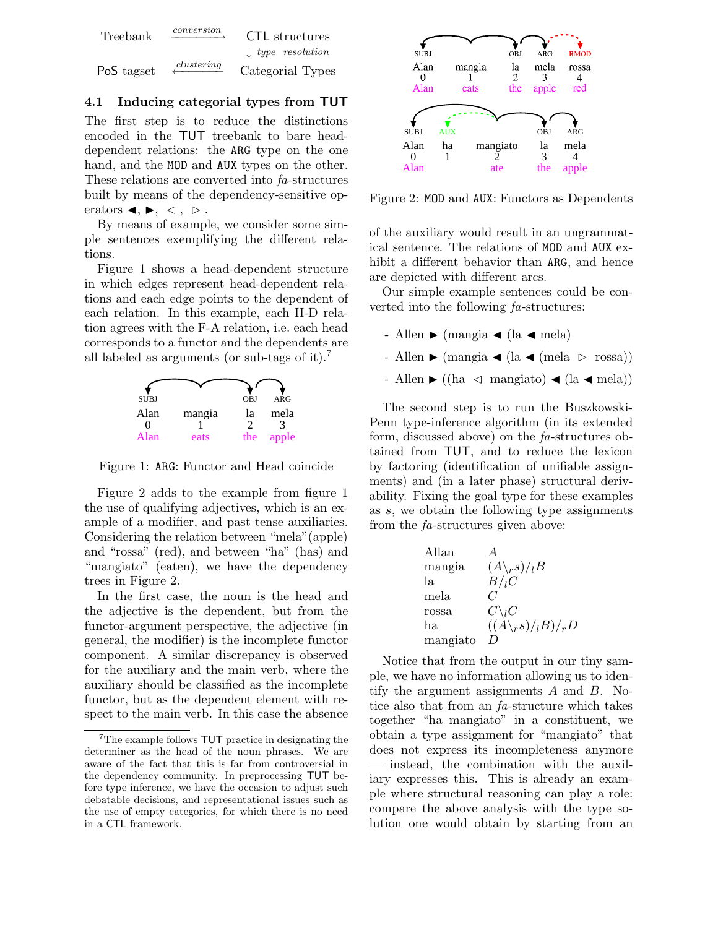

### 4.1 Inducing categorial types from TUT

The first step is to reduce the distinctions encoded in the TUT treebank to bare headdependent relations: the ARG type on the one hand, and the MOD and AUX types on the other. These relations are converted into fa-structures built by means of the dependency-sensitive operators  $\blacktriangleleft, \blacktriangleright, \triangleleft, \triangleright.$ 

By means of example, we consider some simple sentences exemplifying the different relations.

Figure 1 shows a head-dependent structure in which edges represent head-dependent relations and each edge points to the dependent of each relation. In this example, each H-D relation agrees with the F-A relation, i.e. each head corresponds to a functor and the dependents are all labeled as arguments (or sub-tags of it).<sup>7</sup>



Figure 1: ARG: Functor and Head coincide

Figure 2 adds to the example from figure 1 the use of qualifying adjectives, which is an example of a modifier, and past tense auxiliaries. Considering the relation between "mela"(apple) and "rossa" (red), and between "ha" (has) and "mangiato" (eaten), we have the dependency trees in Figure 2.

In the first case, the noun is the head and the adjective is the dependent, but from the functor-argument perspective, the adjective (in general, the modifier) is the incomplete functor component. A similar discrepancy is observed for the auxiliary and the main verb, where the auxiliary should be classified as the incomplete functor, but as the dependent element with respect to the main verb. In this case the absence



Figure 2: MOD and AUX: Functors as Dependents

of the auxiliary would result in an ungrammatical sentence. The relations of MOD and AUX exhibit a different behavior than ARG, and hence are depicted with different arcs.

Our simple example sentences could be converted into the following fa-structures:

- Allen  $\blacktriangleright$  (mangia  $\blacktriangleleft$  (la  $\blacktriangleleft$  mela)
- Allen  $\blacktriangleright$  (mangia  $\blacktriangleleft$  (la  $\blacktriangleleft$  (mela  $\triangleright$  rossa))
- Allen  $\blacktriangleright$  ((ha  $\triangleleft$  mangiato)  $\blacktriangleleft$  (la  $\blacktriangleleft$  mela))

The second step is to run the Buszkowski-Penn type-inference algorithm (in its extended form, discussed above) on the fa-structures obtained from TUT, and to reduce the lexicon by factoring (identification of unifiable assignments) and (in a later phase) structural derivability. Fixing the goal type for these examples as s, we obtain the following type assignments from the fa-structures given above:

| Allan    |                                 |
|----------|---------------------------------|
| mangia   | $(A\backslash rs)/lB$           |
| Iа       | B/I                             |
| mela     |                                 |
| rossa    | $C\backslash_{l}C$              |
| hа.      | $((A\backslash_r s)/_l B)/_r D$ |
| mangiato | $\prime$                        |

Notice that from the output in our tiny sample, we have no information allowing us to identify the argument assignments  $A$  and  $B$ . Notice also that from an fa-structure which takes together "ha mangiato" in a constituent, we obtain a type assignment for "mangiato" that does not express its incompleteness anymore — instead, the combination with the auxiliary expresses this. This is already an example where structural reasoning can play a role: compare the above analysis with the type solution one would obtain by starting from an

<sup>&</sup>lt;sup>7</sup>The example follows **TUT** practice in designating the determiner as the head of the noun phrases. We are aware of the fact that this is far from controversial in the dependency community. In preprocessing TUT before type inference, we have the occasion to adjust such debatable decisions, and representational issues such as the use of empty categories, for which there is no need in a CTL framework.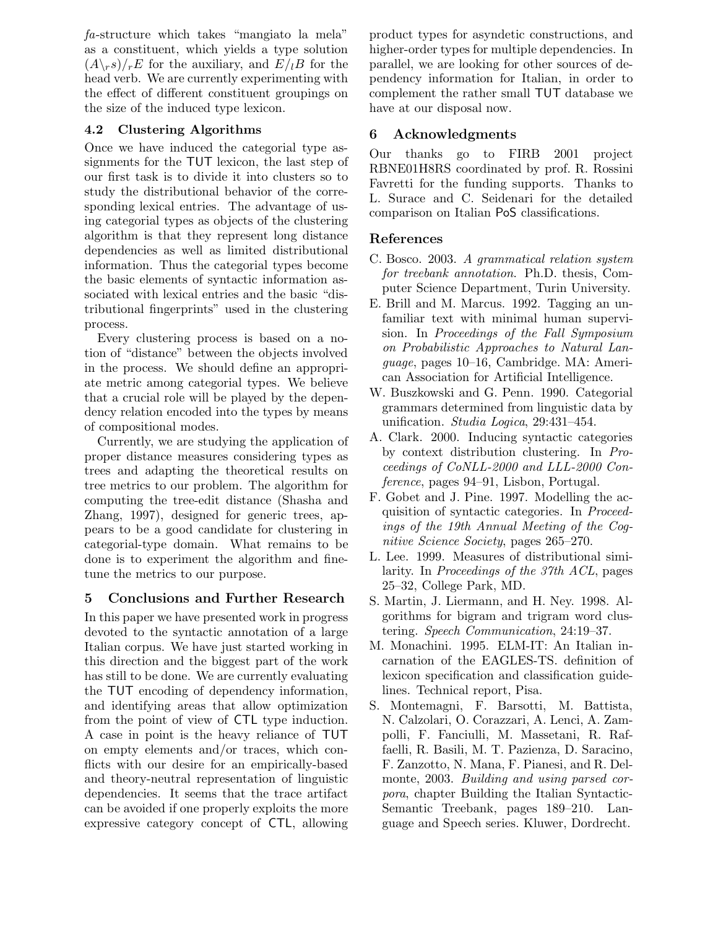fa-structure which takes "mangiato la mela" as a constituent, which yields a type solution  $(A\rceil r s)/rE$  for the auxiliary, and  $E/{}_{l}B$  for the head verb. We are currently experimenting with the effect of different constituent groupings on the size of the induced type lexicon.

## 4.2 Clustering Algorithms

Once we have induced the categorial type assignments for the TUT lexicon, the last step of our first task is to divide it into clusters so to study the distributional behavior of the corresponding lexical entries. The advantage of using categorial types as objects of the clustering algorithm is that they represent long distance dependencies as well as limited distributional information. Thus the categorial types become the basic elements of syntactic information associated with lexical entries and the basic "distributional fingerprints" used in the clustering process.

Every clustering process is based on a notion of "distance" between the objects involved in the process. We should define an appropriate metric among categorial types. We believe that a crucial role will be played by the dependency relation encoded into the types by means of compositional modes.

Currently, we are studying the application of proper distance measures considering types as trees and adapting the theoretical results on tree metrics to our problem. The algorithm for computing the tree-edit distance (Shasha and Zhang, 1997), designed for generic trees, appears to be a good candidate for clustering in categorial-type domain. What remains to be done is to experiment the algorithm and finetune the metrics to our purpose.

## 5 Conclusions and Further Research

In this paper we have presented work in progress devoted to the syntactic annotation of a large Italian corpus. We have just started working in this direction and the biggest part of the work has still to be done. We are currently evaluating the TUT encoding of dependency information, and identifying areas that allow optimization from the point of view of CTL type induction. A case in point is the heavy reliance of TUT on empty elements and/or traces, which conflicts with our desire for an empirically-based and theory-neutral representation of linguistic dependencies. It seems that the trace artifact can be avoided if one properly exploits the more expressive category concept of CTL, allowing product types for asyndetic constructions, and higher-order types for multiple dependencies. In parallel, we are looking for other sources of dependency information for Italian, in order to complement the rather small TUT database we have at our disposal now.

## 6 Acknowledgments

Our thanks go to FIRB 2001 project RBNE01H8RS coordinated by prof. R. Rossini Favretti for the funding supports. Thanks to L. Surace and C. Seidenari for the detailed comparison on Italian PoS classifications.

## References

- C. Bosco. 2003. A grammatical relation system for treebank annotation. Ph.D. thesis, Computer Science Department, Turin University.
- E. Brill and M. Marcus. 1992. Tagging an unfamiliar text with minimal human supervision. In Proceedings of the Fall Symposium on Probabilistic Approaches to Natural Language, pages 10–16, Cambridge. MA: American Association for Artificial Intelligence.
- W. Buszkowski and G. Penn. 1990. Categorial grammars determined from linguistic data by unification. Studia Logica, 29:431–454.
- A. Clark. 2000. Inducing syntactic categories by context distribution clustering. In Proceedings of CoNLL-2000 and LLL-2000 Conference, pages 94–91, Lisbon, Portugal.
- F. Gobet and J. Pine. 1997. Modelling the acquisition of syntactic categories. In Proceedings of the 19th Annual Meeting of the Cognitive Science Society, pages 265–270.
- L. Lee. 1999. Measures of distributional similarity. In Proceedings of the 37th ACL, pages 25–32, College Park, MD.
- S. Martin, J. Liermann, and H. Ney. 1998. Algorithms for bigram and trigram word clustering. Speech Communication, 24:19–37.
- M. Monachini. 1995. ELM-IT: An Italian incarnation of the EAGLES-TS. definition of lexicon specification and classification guidelines. Technical report, Pisa.
- S. Montemagni, F. Barsotti, M. Battista, N. Calzolari, O. Corazzari, A. Lenci, A. Zampolli, F. Fanciulli, M. Massetani, R. Raffaelli, R. Basili, M. T. Pazienza, D. Saracino, F. Zanzotto, N. Mana, F. Pianesi, and R. Delmonte, 2003. Building and using parsed corpora, chapter Building the Italian Syntactic-Semantic Treebank, pages 189–210. Language and Speech series. Kluwer, Dordrecht.